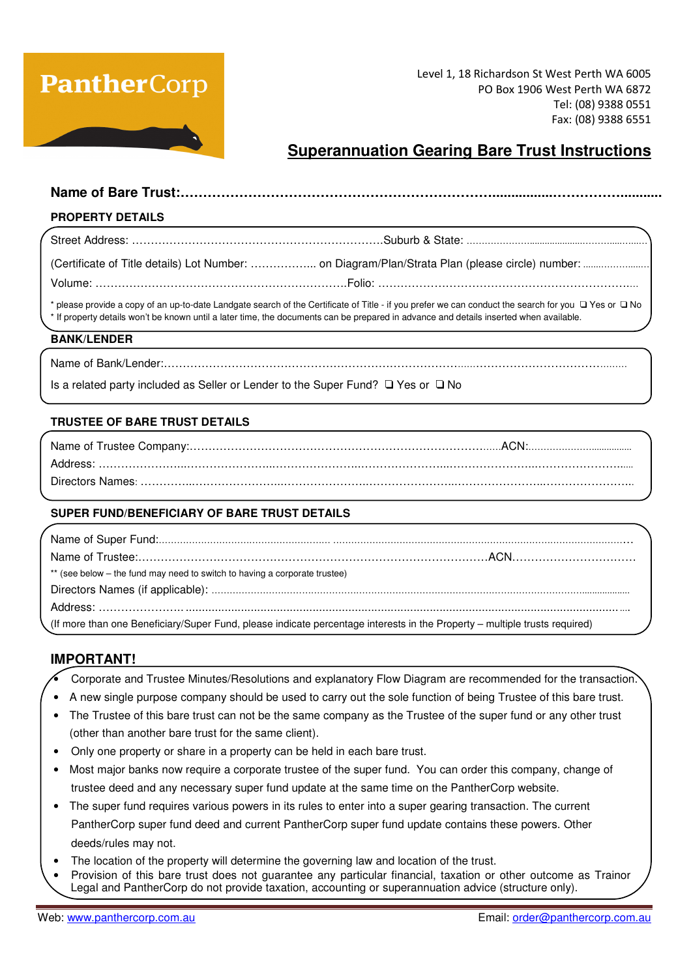# **PantherCorp**

Level 1, 18 Richardson St West Perth WA 6005 PO Box 1906 West Perth WA 6872 Tel: (08) 9388 0551 Fax: (08) 9388 6551

## **Superannuation Gearing Bare Trust Instructions**

#### **Name of Bare Trust:……………………………………………………………................……………...........**

#### **PROPERTY DETAILS**

| * please provide a copy of an up-to-date Landgate search of the Certificate of Title - if you prefer we can conduct the search for you $\Box$ Yes or $\Box$ No<br>* If property details won't be known until a later time, the documents can be prepared in advance and details inserted when available. |
|----------------------------------------------------------------------------------------------------------------------------------------------------------------------------------------------------------------------------------------------------------------------------------------------------------|
|                                                                                                                                                                                                                                                                                                          |

#### **BANK/LENDER**

|--|--|

Is a related party included as Seller or Lender to the Super Fund? ❑ Yes or ❑ No

#### **TRUSTEE OF BARE TRUST DETAILS**

#### **SUPER FUND/BENEFICIARY OF BARE TRUST DETAILS**

| ** (see below – the fund may need to switch to having a corporate trustee)                                                 |  |
|----------------------------------------------------------------------------------------------------------------------------|--|
|                                                                                                                            |  |
|                                                                                                                            |  |
| (If more than one Beneficiary/Super Fund, please indicate percentage interests in the Property - multiple trusts required) |  |

#### **IMPORTANT!**

- Corporate and Trustee Minutes/Resolutions and explanatory Flow Diagram are recommended for the transaction.
- A new single purpose company should be used to carry out the sole function of being Trustee of this bare trust.
- The Trustee of this bare trust can not be the same company as the Trustee of the super fund or any other trust (other than another bare trust for the same client).
- Only one property or share in a property can be held in each bare trust.
- Most major banks now require a corporate trustee of the super fund. You can order this company, change of trustee deed and any necessary super fund update at the same time on the PantherCorp website.
- The super fund requires various powers in its rules to enter into a super gearing transaction. The current PantherCorp super fund deed and current PantherCorp super fund update contains these powers. Other deeds/rules may not.
- The location of the property will determine the governing law and location of the trust.
- Provision of this bare trust does not guarantee any particular financial, taxation or other outcome as Trainor Legal and PantherCorp do not provide taxation, accounting or superannuation advice (structure only).